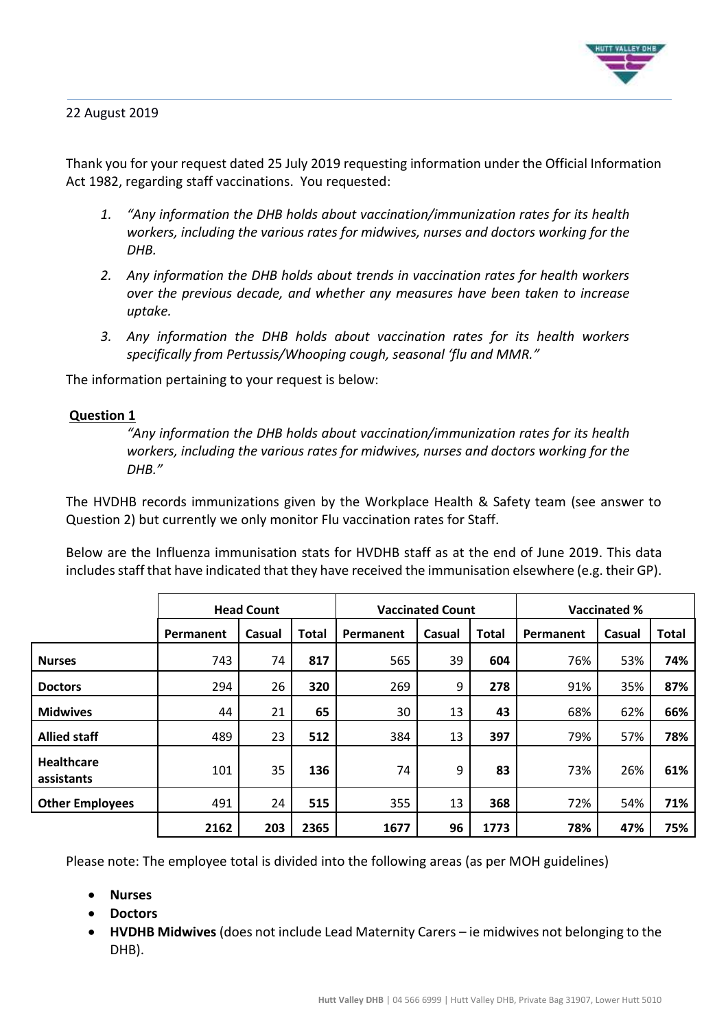

22 August 2019

Thank you for your request dated 25 July 2019 requesting information under the Official Information Act 1982, regarding staff vaccinations. You requested:

- *1. "Any information the DHB holds about vaccination/immunization rates for its health workers, including the various rates for midwives, nurses and doctors working for the DHB.*
- *2. Any information the DHB holds about trends in vaccination rates for health workers over the previous decade, and whether any measures have been taken to increase uptake.*
- *3. Any information the DHB holds about vaccination rates for its health workers specifically from Pertussis/Whooping cough, seasonal 'flu and MMR."*

The information pertaining to your request is below:

## **Question 1**

*"Any information the DHB holds about vaccination/immunization rates for its health workers, including the various rates for midwives, nurses and doctors working for the DHB."*

The HVDHB records immunizations given by the Workplace Health & Safety team (see answer to Question 2) but currently we only monitor Flu vaccination rates for Staff.

Below are the Influenza immunisation stats for HVDHB staff as at the end of June 2019. This data includes staff that have indicated that they have received the immunisation elsewhere (e.g. their GP).

|                                 | <b>Head Count</b> |        |              |           | <b>Vaccinated Count</b> |              | <b>Vaccinated %</b> |        |              |
|---------------------------------|-------------------|--------|--------------|-----------|-------------------------|--------------|---------------------|--------|--------------|
|                                 | Permanent         | Casual | <b>Total</b> | Permanent | Casual                  | <b>Total</b> | Permanent           | Casual | <b>Total</b> |
| <b>Nurses</b>                   | 743               | 74     | 817          | 565       | 39                      | 604          | 76%                 | 53%    | 74%          |
| <b>Doctors</b>                  | 294               | 26     | 320          | 269       | 9                       | 278          | 91%                 | 35%    | 87%          |
| <b>Midwives</b>                 | 44                | 21     | 65           | 30        | 13                      | 43           | 68%                 | 62%    | 66%          |
| <b>Allied staff</b>             | 489               | 23     | 512          | 384       | 13                      | 397          | 79%                 | 57%    | 78%          |
| <b>Healthcare</b><br>assistants | 101               | 35     | 136          | 74        | 9                       | 83           | 73%                 | 26%    | 61%          |
| <b>Other Employees</b>          | 491               | 24     | 515          | 355       | 13                      | 368          | 72%                 | 54%    | 71%          |
|                                 | 2162              | 203    | 2365         | 1677      | 96                      | 1773         | 78%                 | 47%    | 75%          |

Please note: The employee total is divided into the following areas (as per MOH guidelines)

- **Nurses**
- **Doctors**
- **HVDHB Midwives** (does not include Lead Maternity Carers ie midwives not belonging to the DHB).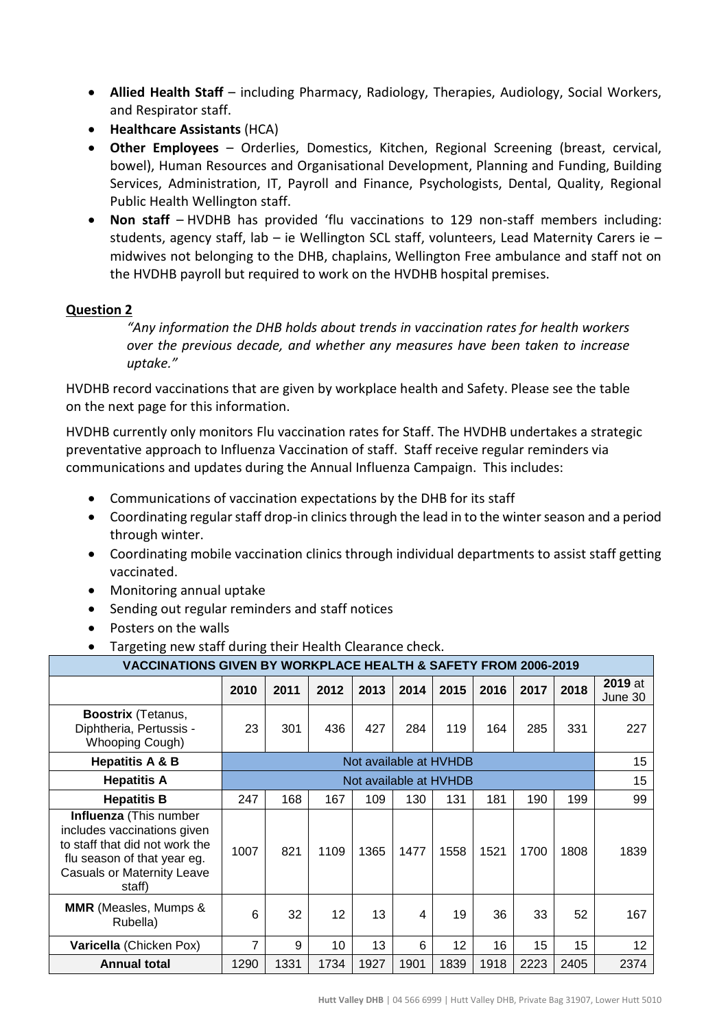- **Allied Health Staff** including Pharmacy, Radiology, Therapies, Audiology, Social Workers, and Respirator staff.
- **Healthcare Assistants** (HCA)
- **Other Employees** Orderlies, Domestics, Kitchen, Regional Screening (breast, cervical, bowel), Human Resources and Organisational Development, Planning and Funding, Building Services, Administration, IT, Payroll and Finance, Psychologists, Dental, Quality, Regional Public Health Wellington staff.
- **Non staff** HVDHB has provided 'flu vaccinations to 129 non-staff members including: students, agency staff, lab – ie Wellington SCL staff, volunteers, Lead Maternity Carers ie – midwives not belonging to the DHB, chaplains, Wellington Free ambulance and staff not on the HVDHB payroll but required to work on the HVDHB hospital premises.

## **Question 2**

*"Any information the DHB holds about trends in vaccination rates for health workers over the previous decade, and whether any measures have been taken to increase uptake."*

HVDHB record vaccinations that are given by workplace health and Safety. Please see the table on the next page for this information.

HVDHB currently only monitors Flu vaccination rates for Staff. The HVDHB undertakes a strategic preventative approach to Influenza Vaccination of staff. Staff receive regular reminders via communications and updates during the Annual Influenza Campaign. This includes:

- Communications of vaccination expectations by the DHB for its staff
- Coordinating regular staff drop-in clinics through the lead in to the winter season and a period through winter.
- Coordinating mobile vaccination clinics through individual departments to assist staff getting vaccinated.
- Monitoring annual uptake
- Sending out regular reminders and staff notices
- Posters on the walls
- Targeting new staff during their Health Clearance check.

| VACCINATIONS GIVEN BY WORKPLACE HEALTH & SAFETY FROM 2006-2019                                                                                                 |                        |      |                   |      |      |      |      |      |      |                           |  |
|----------------------------------------------------------------------------------------------------------------------------------------------------------------|------------------------|------|-------------------|------|------|------|------|------|------|---------------------------|--|
|                                                                                                                                                                | 2010                   | 2011 | 2012              | 2013 | 2014 | 2015 | 2016 | 2017 | 2018 | <b>2019</b> at<br>June 30 |  |
| <b>Boostrix</b> (Tetanus,<br>Diphtheria, Pertussis -<br><b>Whooping Cough)</b>                                                                                 | 23                     | 301  | 436               | 427  | 284  | 119  | 164  | 285  | 331  | 227                       |  |
| <b>Hepatitis A &amp; B</b>                                                                                                                                     | Not available at HVHDB |      |                   |      | 15   |      |      |      |      |                           |  |
| <b>Hepatitis A</b>                                                                                                                                             | Not available at HVHDB |      |                   |      |      |      | 15   |      |      |                           |  |
| <b>Hepatitis B</b>                                                                                                                                             | 247                    | 168  | 167               | 109  | 130  | 131  | 181  | 190  | 199  | 99                        |  |
| Influenza (This number<br>includes vaccinations given<br>to staff that did not work the<br>flu season of that year eg.<br>Casuals or Maternity Leave<br>staff) | 1007                   | 821  | 1109              | 1365 | 1477 | 1558 | 1521 | 1700 | 1808 | 1839                      |  |
| <b>MMR</b> (Measles, Mumps &<br>Rubella)                                                                                                                       | 6                      | 32   | $12 \overline{ }$ | 13   | 4    | 19   | 36   | 33   | 52   | 167                       |  |
| Varicella (Chicken Pox)                                                                                                                                        | 7                      | 9    | 10 <sup>1</sup>   | 13   | 6    | 12   | 16   | 15   | 15   | 12                        |  |
| <b>Annual total</b>                                                                                                                                            | 1290                   | 1331 | 1734              | 1927 | 1901 | 1839 | 1918 | 2223 | 2405 | 2374                      |  |